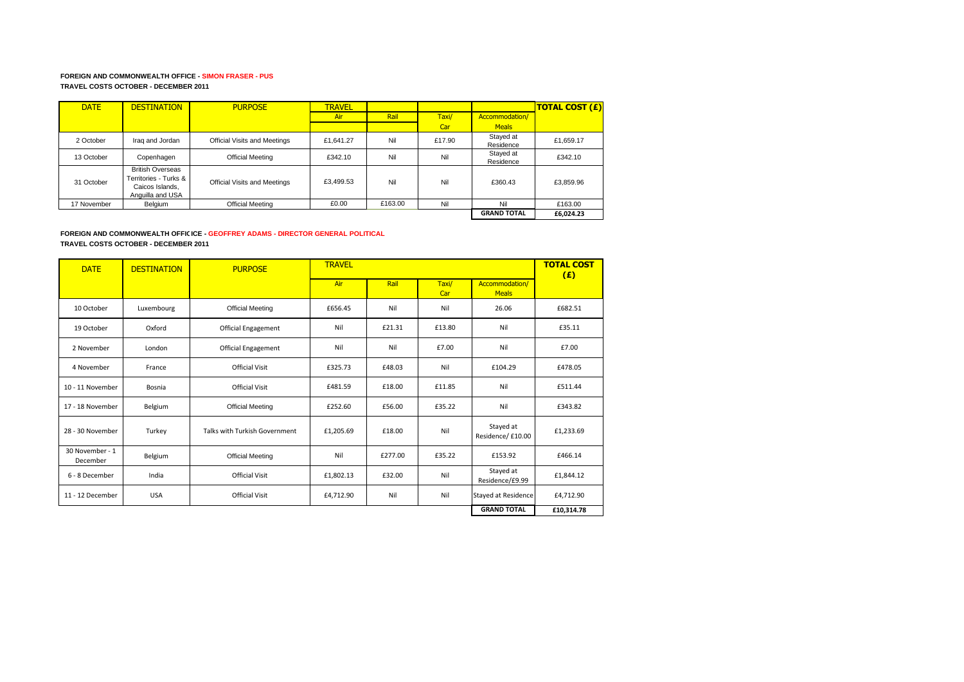## **FOREIGN AND COMMONWEALTH OFFICE - SIMON FRASER - PUS TRAVEL COSTS OCTOBER - DECEMBER 2011**

| <b>DATE</b> | <b>DESTINATION</b>                                                                      | <b>PURPOSE</b>               | <b>TRAVEL</b> |         |        |                        | <b>TOTAL COST (£)</b> |
|-------------|-----------------------------------------------------------------------------------------|------------------------------|---------------|---------|--------|------------------------|-----------------------|
|             |                                                                                         |                              | Air           | Rail    | Taxi/  | Accommodation/         |                       |
|             |                                                                                         |                              |               |         | Car    | <b>Meals</b>           |                       |
| 2 October   | Iraq and Jordan                                                                         | Official Visits and Meetings | £1.641.27     | Nil     | £17.90 | Stayed at<br>Residence | £1.659.17             |
| 13 October  | Copenhagen                                                                              | <b>Official Meeting</b>      | £342.10       | Nil     | Nil    | Stayed at<br>Residence | £342.10               |
| 31 October  | <b>British Overseas</b><br>Territories - Turks &<br>Caicos Islands,<br>Anguilla and USA | Official Visits and Meetings | £3.499.53     | Nil     | Nil    | £360.43                | £3.859.96             |
| 17 November | Belgium                                                                                 | <b>Official Meeting</b>      | £0.00         | £163.00 | Nil    | Nil                    | £163.00               |
|             |                                                                                         |                              |               |         |        | <b>GRAND TOTAL</b>     | £6,024.23             |

## **FOREIGN AND COMMONWEALTH OFFICICE - GEOFFREY ADAMS - DIRECTOR GENERAL POLITICAL TRAVEL COSTS OCTOBER - DECEMBER 2011**

| <b>DATE</b>                 | <b>DESTINATION</b> | <b>PURPOSE</b>                | <b>TRAVEL</b> |         |              |                                | <b>TOTAL COST</b><br>(E) |
|-----------------------------|--------------------|-------------------------------|---------------|---------|--------------|--------------------------------|--------------------------|
|                             |                    |                               | Air           | Rail    | Taxi/<br>Car | Accommodation/<br><b>Meals</b> |                          |
| 10 October                  | Luxembourg         | <b>Official Meeting</b>       | £656.45       | Nil     | Nil          | 26.06                          | £682.51                  |
| 19 October                  | Oxford             | <b>Official Engagement</b>    | Nil           | £21.31  | £13.80       | Nil                            | £35.11                   |
| 2 November                  | London             | <b>Official Engagement</b>    | Nil           | Nil     | £7.00        | Nil                            | £7.00                    |
| 4 November                  | France             | Official Visit                | £325.73       | £48.03  | Nil          | £104.29                        | £478.05                  |
| 10 - 11 November            | Bosnia             | <b>Official Visit</b>         | £481.59       | £18.00  | £11.85       | Nil                            | £511.44                  |
| 17 - 18 November            | Belgium            | <b>Official Meeting</b>       | £252.60       | £56.00  | £35.22       | Nil                            | £343.82                  |
| 28 - 30 November            | Turkey             | Talks with Turkish Government | £1,205.69     | £18.00  | Nil          | Stayed at<br>Residence/ £10.00 | £1,233.69                |
| 30 November - 1<br>December | Belgium            | <b>Official Meeting</b>       | Nil           | £277.00 | £35.22       | £153.92                        | £466.14                  |
| 6 - 8 December              | India              | <b>Official Visit</b>         | £1,802.13     | £32.00  | Nil          | Stayed at<br>Residence/£9.99   | £1,844.12                |
| 11 - 12 December            | <b>USA</b>         | <b>Official Visit</b>         | £4,712.90     | Nil     | Nil          | Stayed at Residence            | £4,712.90                |
|                             |                    |                               |               |         |              | <b>GRAND TOTAL</b>             | £10,314.78               |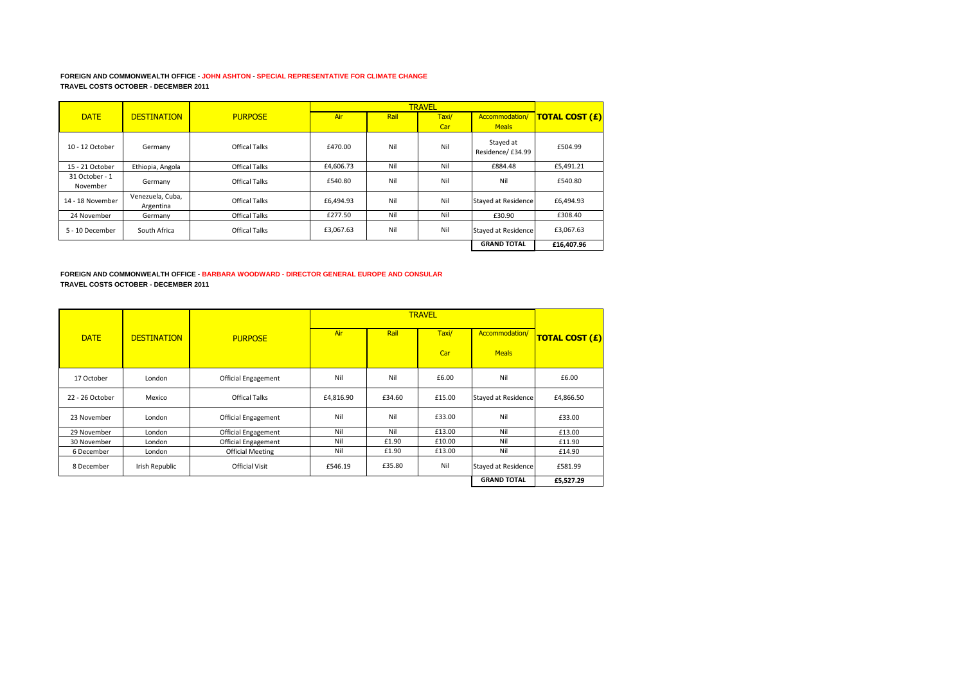## **FOREIGN AND COMMONWEALTH OFFICE - JOHN ASHTON - SPECIAL REPRESENTATIVE FOR CLIMATE CHANGE TRAVEL COSTS OCTOBER - DECEMBER 2011**

|                            |                               |                      |           |      | <b>TRAVEL</b> |                                |                       |
|----------------------------|-------------------------------|----------------------|-----------|------|---------------|--------------------------------|-----------------------|
| <b>DATE</b>                | <b>DESTINATION</b>            | <b>PURPOSE</b>       | Air       | Rail | Taxi/         | Accommodation/                 | <b>TOTAL COST (£)</b> |
|                            |                               |                      |           |      | Car           | <b>Meals</b>                   |                       |
| 10 - 12 October            | Germany                       | Offical Talks        | £470.00   | Nil  | Nil           | Stayed at<br>Residence/ £34.99 | £504.99               |
| 15 - 21 October            | Ethiopia, Angola              | <b>Offical Talks</b> | £4,606.73 | Nil  | Nil           | £884.48                        | £5,491.21             |
| 31 October - 1<br>November | Germany                       | Offical Talks        | £540.80   | Nil  | Nil           | Nil                            | £540.80               |
| 14 - 18 November           | Venezuela, Cuba,<br>Argentina | <b>Offical Talks</b> | £6,494.93 | Nil  | Nil           | <b>Stayed at Residence</b>     | £6,494.93             |
| 24 November                | Germany                       | <b>Offical Talks</b> | £277.50   | Nil  | Nil           | £30.90                         | £308.40               |
| 5 - 10 December            | South Africa                  | <b>Offical Talks</b> | £3.067.63 | Nil  | Nil           | <b>Stayed at Residence</b>     | £3.067.63             |
|                            |                               |                      |           |      |               | <b>GRAND TOTAL</b>             | £16.407.96            |

**FOREIGN AND COMMONWEALTH OFFICE - BARBARA WOODWARD - DIRECTOR GENERAL EUROPE AND CONSULAR TRAVEL COSTS OCTOBER - DECEMBER 2011**

|                 |                    |                            |           |        | <b>TRAVEL</b> |                            |                       |
|-----------------|--------------------|----------------------------|-----------|--------|---------------|----------------------------|-----------------------|
| <b>DATE</b>     | <b>DESTINATION</b> | <b>PURPOSE</b>             | Air       | Rail   | Taxi/         | Accommodation/             | <b>TOTAL COST (£)</b> |
|                 |                    |                            |           |        | Car           | <b>Meals</b>               |                       |
| 17 October      | London             | Official Engagement        | Nil       | Nil    | £6.00         | Nil                        | £6.00                 |
| 22 - 26 October | Mexico             | <b>Offical Talks</b>       | £4,816.90 | £34.60 | £15.00        | <b>Stayed at Residence</b> | £4,866.50             |
| 23 November     | London             | <b>Official Engagement</b> | Nil       | Nil    | £33.00        | Nil                        | £33.00                |
| 29 November     | London             | <b>Official Engagement</b> | Nil       | Nil    | £13.00        | Nil                        | £13.00                |
| 30 November     | London             | <b>Official Engagement</b> | Nil       | £1.90  | £10.00        | Nil                        | £11.90                |
| 6 December      | London             | <b>Official Meeting</b>    | Nil       | £1.90  | £13.00        | Nil                        | £14.90                |
| 8 December      | Irish Republic     | <b>Official Visit</b>      | £546.19   | £35.80 | Nil           | <b>Stayed at Residence</b> | £581.99               |
|                 |                    |                            |           |        |               | <b>GRAND TOTAL</b>         | £5,527.29             |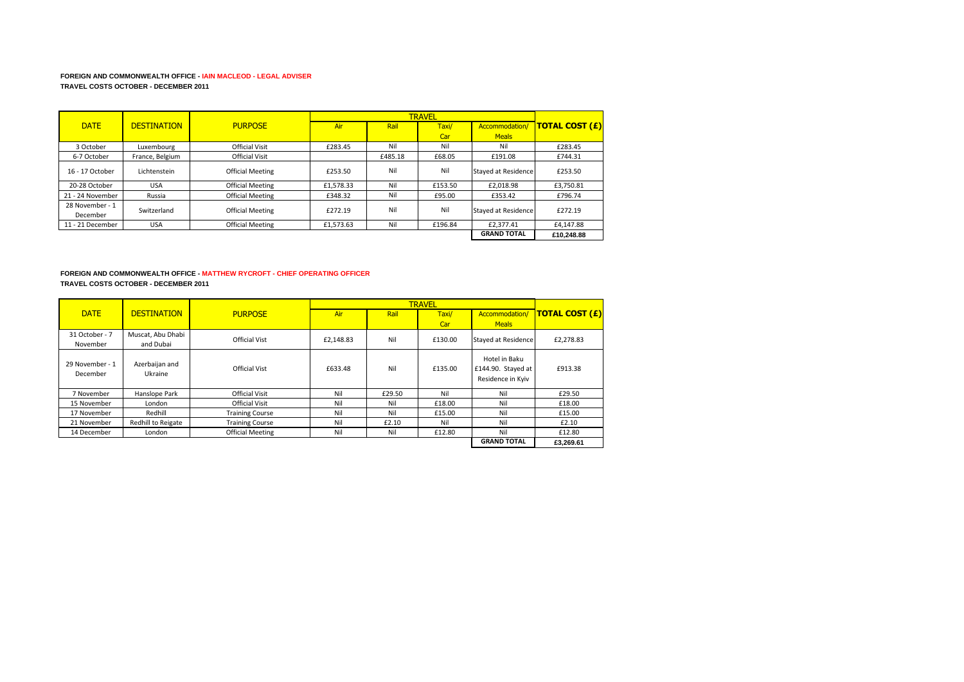## **FOREIGN AND COMMONWEALTH OFFICE - IAIN MACLEOD - LEGAL ADVISER TRAVEL COSTS OCTOBER - DECEMBER 2011**

|                  |                    |                         |            |         | <b>TRAVEL</b> |                            |                       |
|------------------|--------------------|-------------------------|------------|---------|---------------|----------------------------|-----------------------|
| <b>DATE</b>      | <b>DESTINATION</b> | <b>PURPOSE</b>          | <b>Air</b> | Rail    | Taxi/         | Accommodation/             | <b>TOTAL COST (£)</b> |
|                  |                    |                         |            |         | Car           | <b>Meals</b>               |                       |
| 3 October        | Luxembourg         | <b>Official Visit</b>   | £283.45    | Nil     | Nil           | Nil                        | £283.45               |
| 6-7 October      | France, Belgium    | <b>Official Visit</b>   |            | £485.18 | £68.05        | £191.08                    | £744.31               |
| 16 - 17 October  | Lichtenstein       | <b>Official Meeting</b> | £253.50    | Nil     | Nil           | <b>Stayed at Residence</b> | £253.50               |
| 20-28 October    | <b>USA</b>         | <b>Official Meeting</b> | £1.578.33  | Nil     | £153.50       | £2,018.98                  | £3,750.81             |
| 21 - 24 November | Russia             | <b>Official Meeting</b> | £348.32    | Nil     | £95.00        | £353.42                    | £796.74               |
| 28 November - 1  | Switzerland        | <b>Official Meeting</b> | £272.19    | Nil     | Nil           | <b>Stayed at Residence</b> | £272.19               |
| December         |                    |                         |            |         |               |                            |                       |
| 11 - 21 December | <b>USA</b>         | <b>Official Meeting</b> | £1.573.63  | Nil     | £196.84       | £2.377.41                  | £4.147.88             |
|                  |                    |                         |            |         |               | <b>GRAND TOTAL</b>         | £10.248.88            |

### **FOREIGN AND COMMONWEALTH OFFICE - MATTHEW RYCROFT - CHIEF OPERATING OFFICER TRAVEL COSTS OCTOBER - DECEMBER 2011**

|                             |                                |                         |            |        | <b>TRAVEL</b> |                                                          |                       |
|-----------------------------|--------------------------------|-------------------------|------------|--------|---------------|----------------------------------------------------------|-----------------------|
| <b>DATE</b>                 | <b>DESTINATION</b>             | <b>PURPOSE</b>          | <b>Air</b> | Rail   | Taxi/         | Accommodation/                                           | <b>TOTAL COST (£)</b> |
|                             |                                |                         |            |        | Car           | <b>Meals</b>                                             |                       |
| 31 October - 7<br>November  | Muscat, Abu Dhabi<br>and Dubai | <b>Official Vist</b>    | £2.148.83  | Nil    | £130.00       | Stayed at Residence                                      | £2,278.83             |
| 29 November - 1<br>December | Azerbaijan and<br>Ukraine      | Official Vist           | £633.48    | Nil    | £135.00       | Hotel in Baku<br>£144.90. Stayed at<br>Residence in Kviv | £913.38               |
| 7 November                  | Hanslope Park                  | <b>Official Visit</b>   | Nil        | £29.50 | Nil           | Nil                                                      | £29.50                |
| 15 November                 | London                         | <b>Official Visit</b>   | Nil        | Nil    | £18.00        | Nil                                                      | £18.00                |
| 17 November                 | Redhill                        | <b>Training Course</b>  | Nil        | Nil    | £15.00        | Nil                                                      | £15.00                |
| 21 November                 | Redhill to Reigate             | <b>Training Course</b>  | Nil        | £2.10  | Nil           | Nil                                                      | £2.10                 |
| 14 December                 | London                         | <b>Official Meeting</b> | Nil        | Nil    | £12.80        | Nil                                                      | £12.80                |
|                             |                                |                         |            |        |               | <b>GRAND TOTAL</b>                                       | £3.269.61             |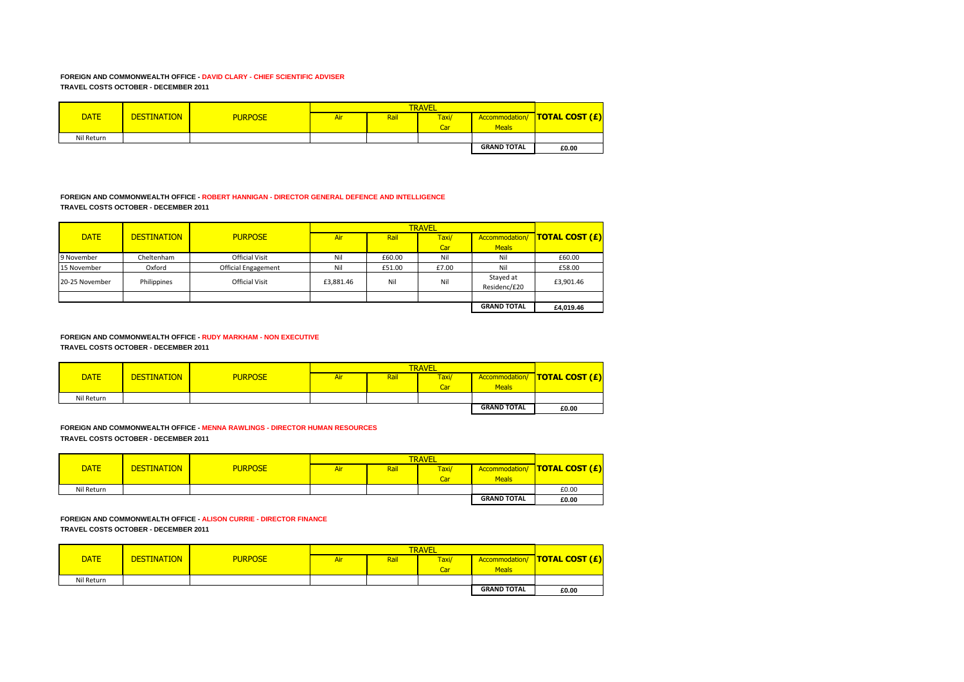## **FOREIGN AND COMMONWEALTH OFFICE - DAVID CLARY - CHIEF SCIENTIFIC ADVISER TRAVEL COSTS OCTOBER - DECEMBER 2011**

|             |                    |                |            | <b>TRAVEL</b> |       |                    |                                      |
|-------------|--------------------|----------------|------------|---------------|-------|--------------------|--------------------------------------|
| <b>DATE</b> | <b>DESTINATION</b> | <b>PURPOSE</b> | <b>Air</b> | Rail          | Taxi/ |                    | <b>Accommodation/ TOTAL COST (£)</b> |
|             |                    |                |            |               | Car   | <b>Meals</b>       |                                      |
| Nil Return  |                    |                |            |               |       |                    |                                      |
|             |                    |                |            |               |       | <b>GRAND TOTAL</b> | £0.00                                |

# **FOREIGN AND COMMONWEALTH OFFICE - ROBERT HANNIGAN - DIRECTOR GENERAL DEFENCE AND INTELLIGENCE TRAVEL COSTS OCTOBER - DECEMBER 2011**

|                |                    |                            |           |        | <b>TRAVEL</b> |                           |                       |
|----------------|--------------------|----------------------------|-----------|--------|---------------|---------------------------|-----------------------|
| <b>DATE</b>    | <b>DESTINATION</b> | <b>PURPOSE</b>             | Air       | Rail   | Taxi/         | Accommodation/            | <b>TOTAL COST (£)</b> |
|                |                    |                            |           |        | Car           | <b>Meals</b>              |                       |
| 9 November     | Cheltenham         | <b>Official Visit</b>      | Nil       | £60.00 | Nil           | Nil                       | £60.00                |
| 15 November    | Oxford             | <b>Official Engagement</b> | Nil       | £51.00 | £7.00         | Nil                       | £58.00                |
| 20-25 November | Philippines        | <b>Official Visit</b>      | £3,881.46 | Nil    | Nil           | Stayed at<br>Residenc/£20 | £3,901.46             |
|                |                    |                            |           |        |               |                           |                       |
|                |                    |                            |           |        |               | <b>GRAND TOTAL</b>        | £4,019.46             |

#### **FOREIGN AND COMMONWEALTH OFFICE - RUDY MARKHAM - NON EXECUTIVE TRAVEL COSTS OCTOBER - DECEMBER 2011**

|             |                    |                | <b>TRAVEL</b> |      |       |                    |                       |
|-------------|--------------------|----------------|---------------|------|-------|--------------------|-----------------------|
| <b>DATE</b> | <b>DESTINATION</b> | <b>PURPOSE</b> | Air           | Rail | Taxi/ | Accommodation/     | <b>TOTAL COST (£)</b> |
|             |                    |                |               |      | Car   | <b>Meals</b>       |                       |
| Nil Return  |                    |                |               |      |       |                    |                       |
|             |                    |                |               |      |       | <b>GRAND TOTAL</b> | £0.00                 |

**FOREIGN AND COMMONWEALTH OFFICE - MENNA RAWLINGS - DIRECTOR HUMAN RESOURCES TRAVEL COSTS OCTOBER - DECEMBER 2011**

|             |                    |                |     | <b>TRAVEL</b> |       |                    |                                 |  |
|-------------|--------------------|----------------|-----|---------------|-------|--------------------|---------------------------------|--|
| <b>DATE</b> | <b>DESTINATION</b> | <b>PURPOSE</b> | Air | Rail          | Taxi/ |                    | Accommodation/   TOTAL COST (£) |  |
|             |                    |                |     |               | Car   | Meals              |                                 |  |
| Nil Return  |                    |                |     |               |       |                    | £0.00                           |  |
|             |                    |                |     |               |       | <b>GRAND TOTAL</b> | £0.00                           |  |

**FOREIGN AND COMMONWEALTH OFFICE - ALISON CURRIE - DIRECTOR FINANCE TRAVEL COSTS OCTOBER - DECEMBER 2011**

|             |                    |                | <b>TRAVEL</b> |      |                  |                    |                       |
|-------------|--------------------|----------------|---------------|------|------------------|--------------------|-----------------------|
| <b>DATE</b> | <b>DESTINATION</b> | <b>PURPOSE</b> | Air           | Rail | Taxi/            | Accommodation/     | <b>TOTAL COST (£)</b> |
|             |                    |                |               |      | Car <sup>1</sup> | <b>Meals</b>       |                       |
| Nil Return  |                    |                |               |      |                  |                    |                       |
|             |                    |                |               |      |                  | <b>GRAND TOTAL</b> | £0.00                 |